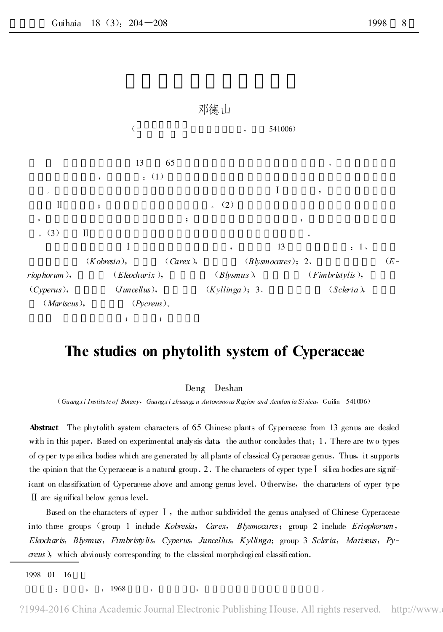

## The studies on phytolith system of Cyperaceae

## Deng Deshan

(Guangx i Institute of Botany , Guangx i zhuangz u Autonomous Region and Academia Si nica , Guilin 541006)

Abstract The phytolith system characters of 65 Chinese plants of Cyperaceae from 13 genus are dealed with in this paper. Based on experimental analy sis data, the author concludes that: 1. There are two types of cyper type silica bodies which are g enerated by all plants of classical Cyperaceae g enus .Thus, it supports the opinion that the Cyperaceae is a natural group .2 .The characters of cyper type Ⅰ silica bodies are significant on classification of Cyperaceae above and among genus level. Otherwise, the characters of cyper type Ⅱ are significal below genus level .

Based on the characters of cyper Ⅰ , the author subdivided the genus analysed of Chinese Cyperaceae into three groups (group 1 include Kobresia, Carex, Blysmocares; group 2 include Eriophorum, Eleocharis, Blysmus, Fimbristy lis, Cyperus, Juncellus, Kyllinga; group 3 Scleria, Mariseus, Pycreus), which abviously corresponding to the classical morphological classification.

 $1998 - 01 - 16$ 

: , , 1968 , , 。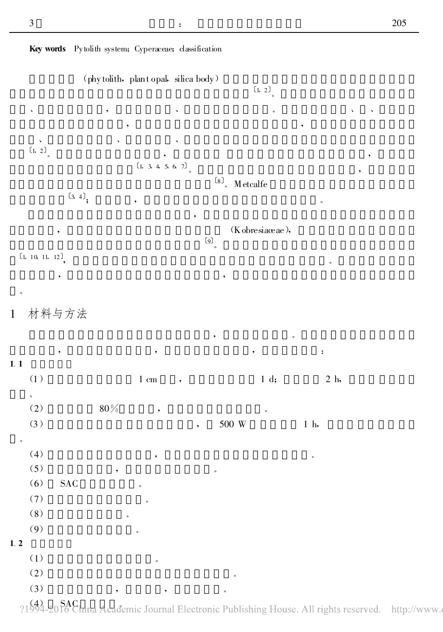Key words Pytolith system; Cyperaceae; classification

(phy tolith, plant opal, silica body)  $(1, 2)$ , where  $\alpha$  ,  $\beta$  ,  $\beta$  ,  $\beta$  ,  $\beta$  ,  $\beta$  ,  $\beta$  ,  $\beta$  ,  $\beta$  ,  $\beta$  ,  $\beta$ , , 、 、 、 〔1, <sup>2</sup>〕 。 , ,  $[1, 3, 4, 5, 6, 7]$  $^{\left[8\right]},\;$  Metcalfe  $(3, 4)$ ; , 。 , (Kobresiaceae),  $(9)$ 〔1, 10, 11, 12〕 , 。 , , 。 1 材料与方法 , where  $\mathbf{r}$  is the set of  $\mathbf{r}$ , , , : 1.1 (1)  $1 \text{ cm}$  ,  $1 \text{ d}$ ;  $2 \text{ h}$ 。 (2)  $80\%$ , (3)  $\qquad \qquad , \qquad 500 \text{ W} \qquad \qquad 1 \text{ h},$ 。 (4) , 。 (5) , 。  $(6)$  SAC  $(7)$  $(8)$  $(9)$ 1.2  $(1)$  $(2)$  $(3)$ , , , ,

21994-2016 China Academic Journal Electronic Publishing House. All rights reserved. http://www.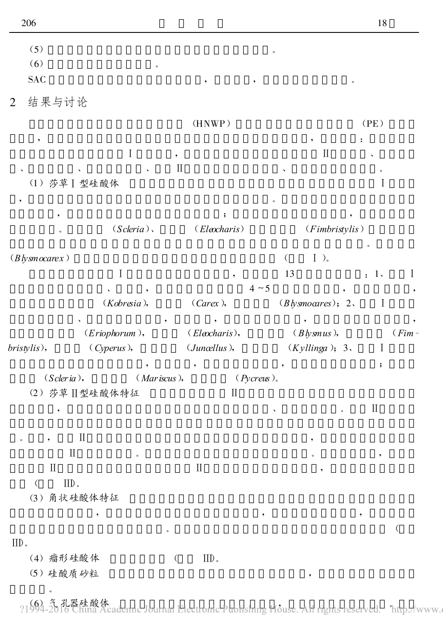| (5)                        |               |                          |                     |             |
|----------------------------|---------------|--------------------------|---------------------|-------------|
| (6)                        | $\circ$       |                          |                     |             |
| <b>SAC</b>                 |               |                          | ,<br>$\circ$        |             |
| 结果与讨论<br>$\overline{2}$    |               |                          |                     |             |
|                            |               | (HNWP)                   |                     | (PE)        |
| ٠                          | $\mathbf I$   |                          | $\rm II$            | :           |
|                            |               | $\bullet$<br>$\rm II$    |                     | $\circ$     |
| (1) 莎草 ] 型硅酸体              |               |                          |                     | $\mathbf I$ |
|                            |               |                          |                     |             |
|                            | $(Scleria)$ . | (Eleocharis)             | (Fimbristylis)      |             |
| $\circ$                    |               |                          |                     |             |
| (Blysmocarex)              |               |                          | $I$ ).<br>$\langle$ |             |
|                            | $\rm I$       |                          | 13                  | I<br>: 1    |
|                            |               |                          | $4 \sim 5$<br>٠     |             |
|                            | (Kobresia),   | (Carex),                 | (Blysmoares); 2.    | $\mathbf I$ |
|                            | (Eriophorum), | $(Elocharis)$ ,          | $(Blysmus)$ ,       | $(Fim -$    |
| bristylis),                | (Cyperus),    | $(J$ uncellus $),$       | (Kyllinga); 3.      | I           |
| (Scleria),                 | (Mariscus),   |                          | $(Pycreus)$ .       | ;           |
|                            | (2) 莎草Ⅱ型硅酸体特征 | $\mathbf{I}$             |                     |             |
|                            |               |                          | $\circ$             | $\rm II$    |
|                            |               |                          |                     |             |
| $\rm II$                   |               |                          |                     |             |
| $\rm II$<br>$\rm II$       | $\circ$       | $\rm II$                 |                     | ,           |
| $\left($<br>$\text{IID}$ . |               |                          |                     |             |
| (3) 角状硅酸体特征                |               |                          |                     |             |
|                            | ٠             |                          |                     |             |
| $\text{IID}$ .             |               | $\circ$                  |                     | $\left($    |
| (4) 瘤形硅酸体                  |               | $\rm{IID}$ .<br>$\left($ |                     |             |
| (5) 硅酸质砂粒                  |               |                          | $^\bullet$          |             |
| $\circ$                    |               |                          |                     |             |

?1994-2016 China Academic Journal Electronic Publishing House. All rights reserved. "http://www.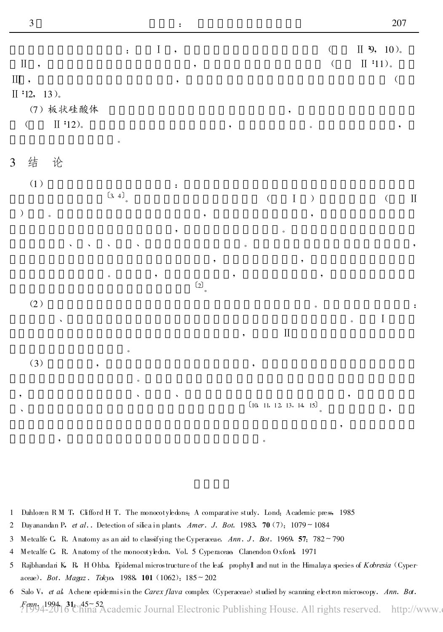、

,

| $\mathbb{I}$ ,<br>$\scriptstyle\rm III$ ,<br>II '12, 13).<br>(7) 板状硅酸体<br>$\rm II$ '12).<br>$\left(\begin{array}{c} \end{array}\right.$ | $\mathbf{.}$       | $\rm I$   | ,<br>$\bullet$ | $\overline{\phantom{a}}$                | $\overline{\phantom{a}}$ |   | $\pmb{\mathcal{G}}$              | $\left($<br>$\big($<br>$\circ$ |           | $II$ 9, 10).<br>$\rm II$ '11).<br>$\big($<br>$\bullet$ |           |
|-----------------------------------------------------------------------------------------------------------------------------------------|--------------------|-----------|----------------|-----------------------------------------|--------------------------|---|----------------------------------|--------------------------------|-----------|--------------------------------------------------------|-----------|
| 结 论<br>$\overline{3}$                                                                                                                   | $\circ$            |           |                |                                         |                          |   |                                  |                                |           |                                                        |           |
| (1)<br>$\big)$<br>$\circ$                                                                                                               | (3, 4)             |           | :              | ٠                                       |                          |   | $( \qquad \, \mathrm{I} \quad )$ | ٠                              |           | $\langle$                                              | $\rm{II}$ |
|                                                                                                                                         | $\checkmark$       |           | ,              |                                         | $\circ$                  |   | $\circ$                          |                                |           |                                                        | ,         |
|                                                                                                                                         | $\circ$            | $\bullet$ |                | $\bullet$<br>$\left( 2\right) _{\circ}$ |                          |   | $\bullet$                        | ٠                              |           |                                                        |           |
| $\left( 2\right)$<br>$\checkmark$                                                                                                       |                    |           |                |                                         | $\bullet$                |   | $\rm II$                         | $\circ$                        | $\circ$   | $\rm I$                                                | $\colon$  |
| $(3)$<br>$\overline{\phantom{a}}$                                                                                                       | $\circ$<br>$\circ$ |           |                |                                         |                          | ٠ |                                  |                                |           |                                                        |           |
| ,                                                                                                                                       | $\checkmark$       |           | $\checkmark$   |                                         |                          |   | [10, 11, 12, 13, 14, 15]         |                                | $\bullet$ |                                                        |           |

- 1 Dahloren R M T, Clifford H T. The monocotyledons: A comparative study. Lond: Academic press, 1985
- 2 Dayanandan P, et al.. Detection of silica in plants. Amer. J. Bot. 1983, 70 (7):  $1079 \sim 1084$

, 。

- 3 Metcalfe C, R. Anatomy as an aid to classifying the Cyperaceae. Ann. J. Bot. 1969, 57:  $782 \sim 790$
- 4 Metcalfe G, R. Anatomy of the monocotyledon. Vol. 5 Cyperaceae, Clanendon Oxford, 1971
- 5 Rajbhandari K, R, H Ohba. Epidemal microstructure of the leaf, prophyll and nut in the Himalaya species of Kobresia (Cyperaceae). Bot. Magaz. Tokyo, 1988, 101 (1062): 185 ~ 202
- 6 Salo V, et al, Achene epidemisin the Carex flava complex (Cyperaceae) studied by scanning electron microscopy. Ann. Ba. Fenn 1994, 31: 45~52<br>[1994-2016 China Academic Journal Electronic Publishing House. All rights reserved. http://www.